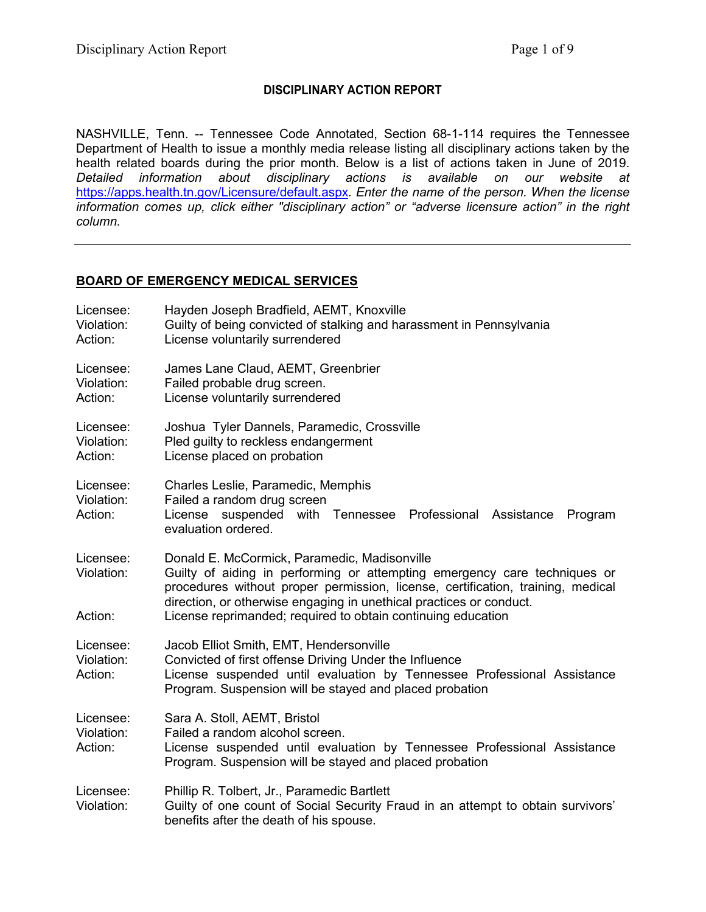# **DISCIPLINARY ACTION REPORT**

NASHVILLE, Tenn. -- Tennessee Code Annotated, Section 68-1-114 requires the Tennessee Department of Health to issue a monthly media release listing all disciplinary actions taken by the health related boards during the prior month. Below is a list of actions taken in June of 2019. *Detailed information about disciplinary actions is available on our website at*  <https://apps.health.tn.gov/Licensure/default.aspx>*. Enter the name of the person. When the license information comes up, click either "disciplinary action" or "adverse licensure action" in the right column.*

# **BOARD OF EMERGENCY MEDICAL SERVICES**

| Licensee:<br>Violation:<br>Action: | Hayden Joseph Bradfield, AEMT, Knoxville<br>Guilty of being convicted of stalking and harassment in Pennsylvania<br>License voluntarily surrendered                                                                                                                                                                                                 |  |
|------------------------------------|-----------------------------------------------------------------------------------------------------------------------------------------------------------------------------------------------------------------------------------------------------------------------------------------------------------------------------------------------------|--|
| Licensee:<br>Violation:<br>Action: | James Lane Claud, AEMT, Greenbrier<br>Failed probable drug screen.<br>License voluntarily surrendered                                                                                                                                                                                                                                               |  |
| Licensee:<br>Violation:<br>Action: | Joshua Tyler Dannels, Paramedic, Crossville<br>Pled guilty to reckless endangerment<br>License placed on probation                                                                                                                                                                                                                                  |  |
| Licensee:<br>Violation:<br>Action: | Charles Leslie, Paramedic, Memphis<br>Failed a random drug screen<br>License suspended with Tennessee<br>Professional Assistance<br>Program<br>evaluation ordered.                                                                                                                                                                                  |  |
| Licensee:<br>Violation:<br>Action: | Donald E. McCormick, Paramedic, Madisonville<br>Guilty of aiding in performing or attempting emergency care techniques or<br>procedures without proper permission, license, certification, training, medical<br>direction, or otherwise engaging in unethical practices or conduct.<br>License reprimanded; required to obtain continuing education |  |
| Licensee:<br>Violation:<br>Action: | Jacob Elliot Smith, EMT, Hendersonville<br>Convicted of first offense Driving Under the Influence<br>License suspended until evaluation by Tennessee Professional Assistance<br>Program. Suspension will be stayed and placed probation                                                                                                             |  |
| Licensee:<br>Violation:<br>Action: | Sara A. Stoll, AEMT, Bristol<br>Failed a random alcohol screen.<br>License suspended until evaluation by Tennessee Professional Assistance<br>Program. Suspension will be stayed and placed probation                                                                                                                                               |  |
| Licensee:<br>Violation:            | Phillip R. Tolbert, Jr., Paramedic Bartlett<br>Guilty of one count of Social Security Fraud in an attempt to obtain survivors'<br>benefits after the death of his spouse.                                                                                                                                                                           |  |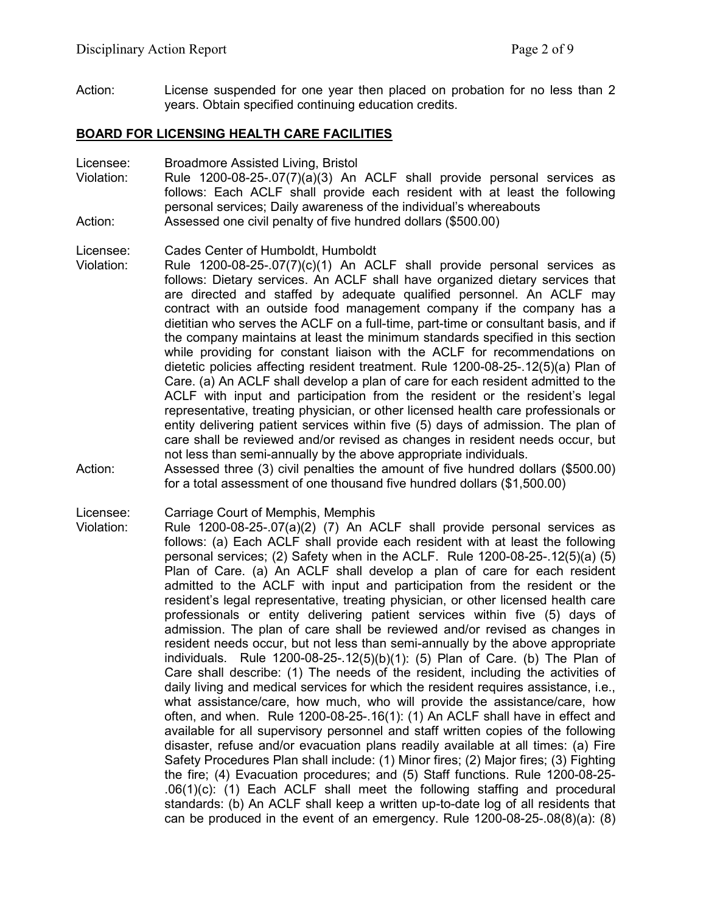Action: License suspended for one year then placed on probation for no less than 2 years. Obtain specified continuing education credits.

#### **BOARD FOR LICENSING HEALTH CARE FACILITIES**

Licensee: Broadmore Assisted Living, Bristol

Violation: Rule 1200-08-25-.07(7)(a)(3) An ACLF shall provide personal services as follows: Each ACLF shall provide each resident with at least the following personal services; Daily awareness of the individual's whereabouts Action: Assessed one civil penalty of five hundred dollars (\$500.00)

#### Licensee: Cades Center of Humboldt, Humboldt

- Violation: Rule 1200-08-25-.07(7)(c)(1) An ACLF shall provide personal services as follows: Dietary services. An ACLF shall have organized dietary services that are directed and staffed by adequate qualified personnel. An ACLF may contract with an outside food management company if the company has a dietitian who serves the ACLF on a full-time, part-time or consultant basis, and if the company maintains at least the minimum standards specified in this section while providing for constant liaison with the ACLF for recommendations on dietetic policies affecting resident treatment. Rule 1200-08-25-.12(5)(a) Plan of Care. (a) An ACLF shall develop a plan of care for each resident admitted to the ACLF with input and participation from the resident or the resident's legal representative, treating physician, or other licensed health care professionals or entity delivering patient services within five (5) days of admission. The plan of care shall be reviewed and/or revised as changes in resident needs occur, but not less than semi-annually by the above appropriate individuals.
- Action: Assessed three (3) civil penalties the amount of five hundred dollars (\$500.00) for a total assessment of one thousand five hundred dollars (\$1,500.00)

Licensee: Carriage Court of Memphis, Memphis

Violation: Rule 1200-08-25-.07(a)(2) (7) An ACLF shall provide personal services as follows: (a) Each ACLF shall provide each resident with at least the following personal services; (2) Safety when in the ACLF. Rule 1200-08-25-.12(5)(a) (5) Plan of Care. (a) An ACLF shall develop a plan of care for each resident admitted to the ACLF with input and participation from the resident or the resident's legal representative, treating physician, or other licensed health care professionals or entity delivering patient services within five (5) days of admission. The plan of care shall be reviewed and/or revised as changes in resident needs occur, but not less than semi-annually by the above appropriate individuals. Rule 1200-08-25-.12(5)(b)(1): (5) Plan of Care. (b) The Plan of Care shall describe: (1) The needs of the resident, including the activities of daily living and medical services for which the resident requires assistance, i.e., what assistance/care, how much, who will provide the assistance/care, how often, and when. Rule 1200-08-25-.16(1): (1) An ACLF shall have in effect and available for all supervisory personnel and staff written copies of the following disaster, refuse and/or evacuation plans readily available at all times: (a) Fire Safety Procedures Plan shall include: (1) Minor fires; (2) Major fires; (3) Fighting the fire; (4) Evacuation procedures; and (5) Staff functions. Rule 1200-08-25- .06(1)(c): (1) Each ACLF shall meet the following staffing and procedural standards: (b) An ACLF shall keep a written up-to-date log of all residents that can be produced in the event of an emergency. Rule 1200-08-25-.08(8)(a): (8)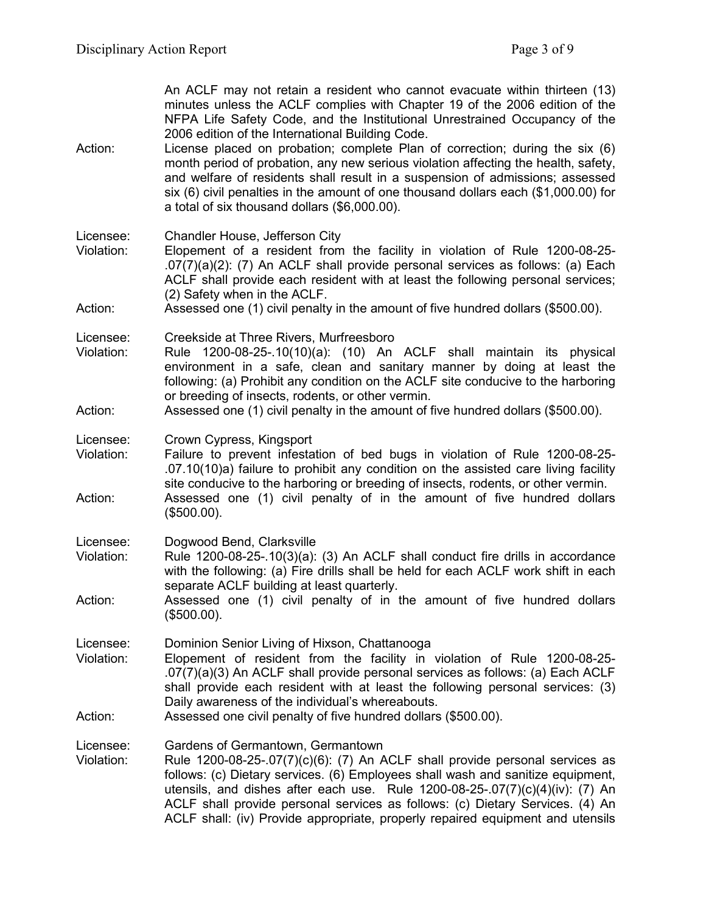An ACLF may not retain a resident who cannot evacuate within thirteen (13) minutes unless the ACLF complies with Chapter 19 of the 2006 edition of the NFPA Life Safety Code, and the Institutional Unrestrained Occupancy of the 2006 edition of the International Building Code.

- Action: License placed on probation; complete Plan of correction; during the six (6) month period of probation, any new serious violation affecting the health, safety, and welfare of residents shall result in a suspension of admissions; assessed six (6) civil penalties in the amount of one thousand dollars each (\$1,000.00) for a total of six thousand dollars (\$6,000.00).
- Licensee: Chandler House, Jefferson City
- Violation: Elopement of a resident from the facility in violation of Rule 1200-08-25- .07(7)(a)(2): (7) An ACLF shall provide personal services as follows: (a) Each ACLF shall provide each resident with at least the following personal services; (2) Safety when in the ACLF.

### Action: Assessed one (1) civil penalty in the amount of five hundred dollars (\$500.00).

Licensee: Creekside at Three Rivers, Murfreesboro

Violation: Rule 1200-08-25-.10(10)(a): (10) An ACLF shall maintain its physical environment in a safe, clean and sanitary manner by doing at least the following: (a) Prohibit any condition on the ACLF site conducive to the harboring or breeding of insects, rodents, or other vermin.

### Action: Assessed one (1) civil penalty in the amount of five hundred dollars (\$500.00).

Licensee: Crown Cypress, Kingsport

- Violation: Failure to prevent infestation of bed bugs in violation of Rule 1200-08-25- .07.10(10)a) failure to prohibit any condition on the assisted care living facility site conducive to the harboring or breeding of insects, rodents, or other vermin. Action: Assessed one (1) civil penalty of in the amount of five hundred dollars (\$500.00).
- Licensee: Dogwood Bend, Clarksville
- Violation: Rule 1200-08-25-.10(3)(a): (3) An ACLF shall conduct fire drills in accordance with the following: (a) Fire drills shall be held for each ACLF work shift in each separate ACLF building at least quarterly.
- Action: Assessed one (1) civil penalty of in the amount of five hundred dollars (\$500.00).

Licensee: Dominion Senior Living of Hixson, Chattanooga

- Violation: Elopement of resident from the facility in violation of Rule 1200-08-25- .07(7)(a)(3) An ACLF shall provide personal services as follows: (a) Each ACLF shall provide each resident with at least the following personal services: (3) Daily awareness of the individual's whereabouts.
- Action: Assessed one civil penalty of five hundred dollars (\$500.00).

Licensee: Gardens of Germantown, Germantown

Violation: Rule 1200-08-25-.07(7)(c)(6): (7) An ACLF shall provide personal services as follows: (c) Dietary services. (6) Employees shall wash and sanitize equipment, utensils, and dishes after each use. Rule 1200-08-25-.07(7)(c)(4)(iv): (7) An ACLF shall provide personal services as follows: (c) Dietary Services. (4) An ACLF shall: (iv) Provide appropriate, properly repaired equipment and utensils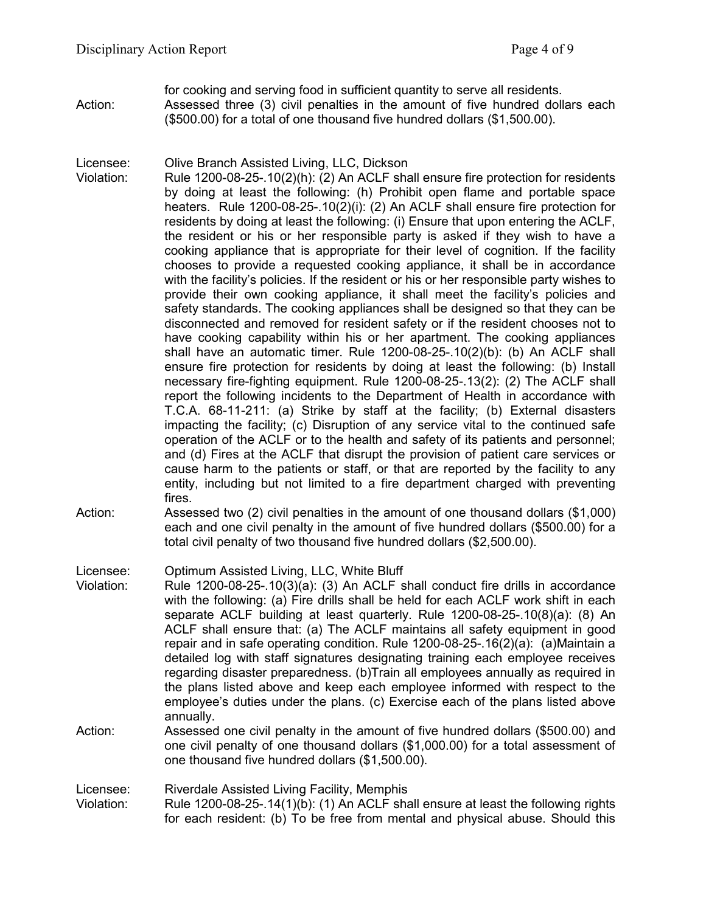for cooking and serving food in sufficient quantity to serve all residents. Action: Assessed three (3) civil penalties in the amount of five hundred dollars each (\$500.00) for a total of one thousand five hundred dollars (\$1,500.00).

Licensee: Olive Branch Assisted Living, LLC, Dickson

- Violation: Rule 1200-08-25-.10(2)(h): (2) An ACLF shall ensure fire protection for residents by doing at least the following: (h) Prohibit open flame and portable space heaters. Rule 1200-08-25-.10(2)(i): (2) An ACLF shall ensure fire protection for residents by doing at least the following: (i) Ensure that upon entering the ACLF, the resident or his or her responsible party is asked if they wish to have a cooking appliance that is appropriate for their level of cognition. If the facility chooses to provide a requested cooking appliance, it shall be in accordance with the facility's policies. If the resident or his or her responsible party wishes to provide their own cooking appliance, it shall meet the facility's policies and safety standards. The cooking appliances shall be designed so that they can be disconnected and removed for resident safety or if the resident chooses not to have cooking capability within his or her apartment. The cooking appliances shall have an automatic timer. Rule 1200-08-25-.10(2)(b): (b) An ACLF shall ensure fire protection for residents by doing at least the following: (b) Install necessary fire-fighting equipment. Rule 1200-08-25-.13(2): (2) The ACLF shall report the following incidents to the Department of Health in accordance with T.C.A. 68-11-211: (a) Strike by staff at the facility; (b) External disasters impacting the facility; (c) Disruption of any service vital to the continued safe operation of the ACLF or to the health and safety of its patients and personnel; and (d) Fires at the ACLF that disrupt the provision of patient care services or cause harm to the patients or staff, or that are reported by the facility to any entity, including but not limited to a fire department charged with preventing fires.
- Action: Assessed two (2) civil penalties in the amount of one thousand dollars (\$1,000) each and one civil penalty in the amount of five hundred dollars (\$500.00) for a total civil penalty of two thousand five hundred dollars (\$2,500.00).

Licensee: Optimum Assisted Living, LLC, White Bluff

- Violation: Rule 1200-08-25-.10(3)(a): (3) An ACLF shall conduct fire drills in accordance with the following: (a) Fire drills shall be held for each ACLF work shift in each separate ACLF building at least quarterly. Rule 1200-08-25-.10(8)(a): (8) An ACLF shall ensure that: (a) The ACLF maintains all safety equipment in good repair and in safe operating condition. Rule 1200-08-25-.16(2)(a): (a)Maintain a detailed log with staff signatures designating training each employee receives regarding disaster preparedness. (b)Train all employees annually as required in the plans listed above and keep each employee informed with respect to the employee's duties under the plans. (c) Exercise each of the plans listed above annually.
- Action: Assessed one civil penalty in the amount of five hundred dollars (\$500.00) and one civil penalty of one thousand dollars (\$1,000.00) for a total assessment of one thousand five hundred dollars (\$1,500.00).

Licensee: Riverdale Assisted Living Facility, Memphis

Violation: Rule 1200-08-25-.14(1)(b): (1) An ACLF shall ensure at least the following rights for each resident: (b) To be free from mental and physical abuse. Should this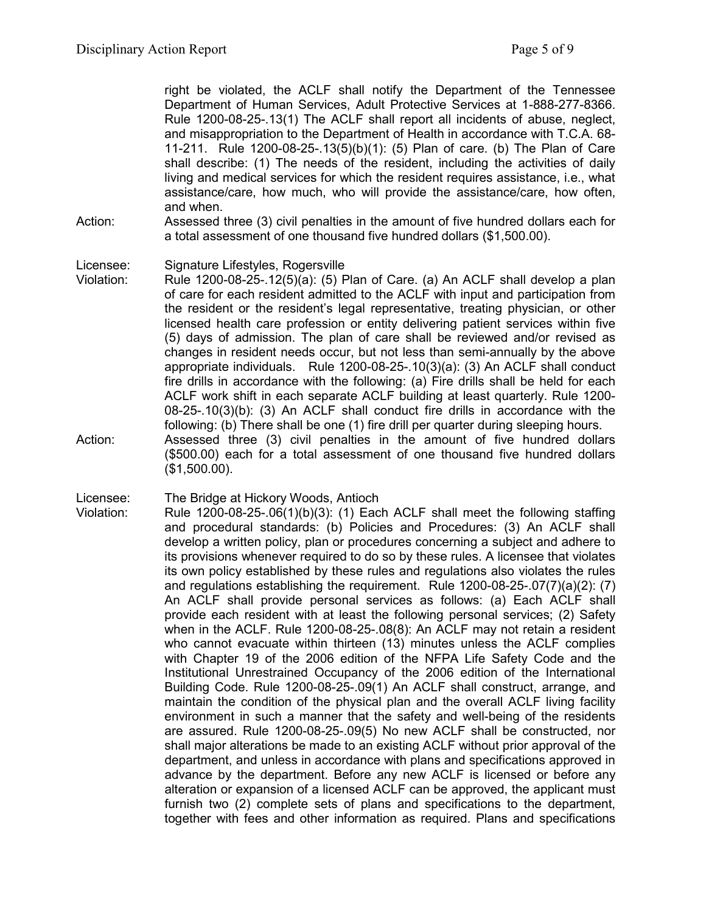right be violated, the ACLF shall notify the Department of the Tennessee Department of Human Services, Adult Protective Services at 1-888-277-8366. Rule 1200-08-25-.13(1) The ACLF shall report all incidents of abuse, neglect, and misappropriation to the Department of Health in accordance with T.C.A. 68- 11-211. Rule 1200-08-25-.13(5)(b)(1): (5) Plan of care. (b) The Plan of Care shall describe: (1) The needs of the resident, including the activities of daily living and medical services for which the resident requires assistance, i.e., what assistance/care, how much, who will provide the assistance/care, how often, and when.

Action: Assessed three (3) civil penalties in the amount of five hundred dollars each for a total assessment of one thousand five hundred dollars (\$1,500.00).

#### Licensee: Signature Lifestyles, Rogersville

- Violation: Rule 1200-08-25-.12(5)(a): (5) Plan of Care. (a) An ACLF shall develop a plan of care for each resident admitted to the ACLF with input and participation from the resident or the resident's legal representative, treating physician, or other licensed health care profession or entity delivering patient services within five (5) days of admission. The plan of care shall be reviewed and/or revised as changes in resident needs occur, but not less than semi-annually by the above appropriate individuals. Rule 1200-08-25-.10(3)(a): (3) An ACLF shall conduct fire drills in accordance with the following: (a) Fire drills shall be held for each ACLF work shift in each separate ACLF building at least quarterly. Rule 1200- 08-25-.10(3)(b): (3) An ACLF shall conduct fire drills in accordance with the following: (b) There shall be one (1) fire drill per quarter during sleeping hours. Action: Assessed three (3) civil penalties in the amount of five hundred dollars (\$500.00) each for a total assessment of one thousand five hundred dollars (\$1,500.00).
- Licensee: The Bridge at Hickory Woods, Antioch
- Violation: Rule 1200-08-25-.06(1)(b)(3): (1) Each ACLF shall meet the following staffing and procedural standards: (b) Policies and Procedures: (3) An ACLF shall develop a written policy, plan or procedures concerning a subject and adhere to its provisions whenever required to do so by these rules. A licensee that violates its own policy established by these rules and regulations also violates the rules and regulations establishing the requirement. Rule 1200-08-25-.07(7)(a)(2): (7) An ACLF shall provide personal services as follows: (a) Each ACLF shall provide each resident with at least the following personal services; (2) Safety when in the ACLF. Rule 1200-08-25-.08(8): An ACLF may not retain a resident who cannot evacuate within thirteen (13) minutes unless the ACLF complies with Chapter 19 of the 2006 edition of the NFPA Life Safety Code and the Institutional Unrestrained Occupancy of the 2006 edition of the International Building Code. Rule 1200-08-25-.09(1) An ACLF shall construct, arrange, and maintain the condition of the physical plan and the overall ACLF living facility environment in such a manner that the safety and well-being of the residents are assured. Rule 1200-08-25-.09(5) No new ACLF shall be constructed, nor shall major alterations be made to an existing ACLF without prior approval of the department, and unless in accordance with plans and specifications approved in advance by the department. Before any new ACLF is licensed or before any alteration or expansion of a licensed ACLF can be approved, the applicant must furnish two (2) complete sets of plans and specifications to the department, together with fees and other information as required. Plans and specifications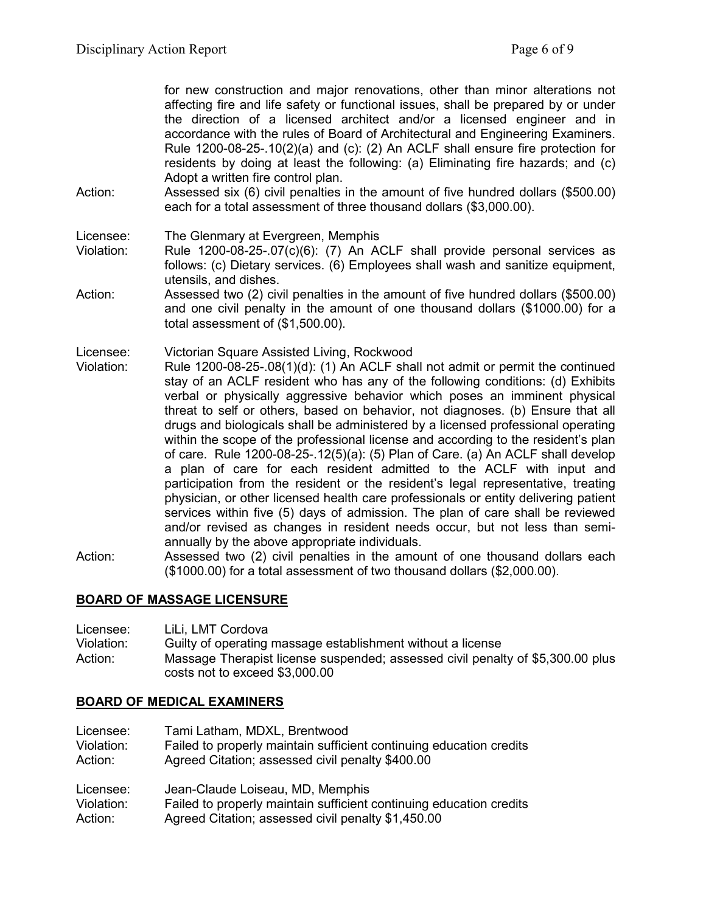for new construction and major renovations, other than minor alterations not affecting fire and life safety or functional issues, shall be prepared by or under the direction of a licensed architect and/or a licensed engineer and in accordance with the rules of Board of Architectural and Engineering Examiners. Rule 1200-08-25-.10(2)(a) and (c): (2) An ACLF shall ensure fire protection for residents by doing at least the following: (a) Eliminating fire hazards; and (c) Adopt a written fire control plan.

Action: Assessed six (6) civil penalties in the amount of five hundred dollars (\$500.00) each for a total assessment of three thousand dollars (\$3,000.00).

Licensee: The Glenmary at Evergreen, Memphis

- Violation: Rule 1200-08-25-.07(c)(6): (7) An ACLF shall provide personal services as follows: (c) Dietary services. (6) Employees shall wash and sanitize equipment, utensils, and dishes.
- Action: Assessed two (2) civil penalties in the amount of five hundred dollars (\$500.00) and one civil penalty in the amount of one thousand dollars (\$1000.00) for a total assessment of (\$1,500.00).

Licensee: Victorian Square Assisted Living, Rockwood

- Violation: Rule 1200-08-25-.08(1)(d): (1) An ACLF shall not admit or permit the continued stay of an ACLF resident who has any of the following conditions: (d) Exhibits verbal or physically aggressive behavior which poses an imminent physical threat to self or others, based on behavior, not diagnoses. (b) Ensure that all drugs and biologicals shall be administered by a licensed professional operating within the scope of the professional license and according to the resident's plan of care. Rule 1200-08-25-.12(5)(a): (5) Plan of Care. (a) An ACLF shall develop a plan of care for each resident admitted to the ACLF with input and participation from the resident or the resident's legal representative, treating physician, or other licensed health care professionals or entity delivering patient services within five (5) days of admission. The plan of care shall be reviewed and/or revised as changes in resident needs occur, but not less than semiannually by the above appropriate individuals.
- Action: Assessed two (2) civil penalties in the amount of one thousand dollars each (\$1000.00) for a total assessment of two thousand dollars (\$2,000.00).

## **BOARD OF MASSAGE LICENSURE**

| Licensee:  | LiLi, LMT Cordova                                                                                                |
|------------|------------------------------------------------------------------------------------------------------------------|
| Violation: | Guilty of operating massage establishment without a license                                                      |
| Action:    | Massage Therapist license suspended; assessed civil penalty of \$5,300.00 plus<br>costs not to exceed \$3,000.00 |

#### **BOARD OF MEDICAL EXAMINERS**

| Licensee:  | Tami Latham, MDXL, Brentwood                                        |
|------------|---------------------------------------------------------------------|
| Violation: | Failed to properly maintain sufficient continuing education credits |
| Action:    | Agreed Citation; assessed civil penalty \$400.00                    |
| Licensee:  | Jean-Claude Loiseau, MD, Memphis                                    |
| Violation: | Failed to properly maintain sufficient continuing education credits |
| Action:    | Agreed Citation; assessed civil penalty \$1,450.00                  |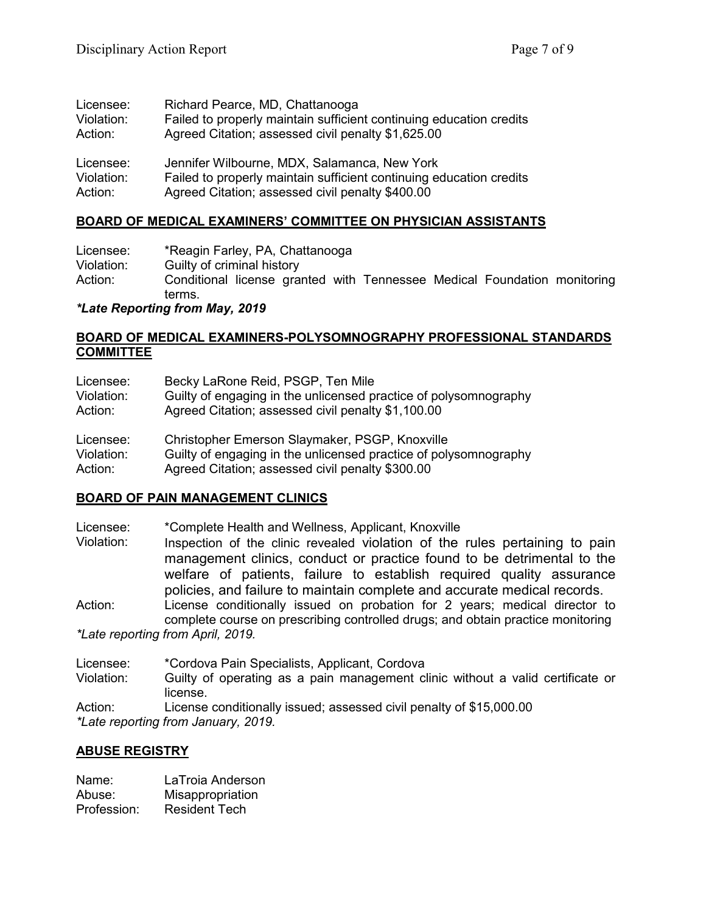| Licensee:  | Richard Pearce, MD, Chattanooga                                     |
|------------|---------------------------------------------------------------------|
| Violation: | Failed to properly maintain sufficient continuing education credits |
| Action:    | Agreed Citation; assessed civil penalty \$1,625.00                  |
| Licensee:  | Jennifer Wilbourne, MDX, Salamanca, New York                        |
| Violation: | Failed to properly maintain sufficient continuing education credits |
| Action:    | Agreed Citation; assessed civil penalty \$400.00                    |

# **BOARD OF MEDICAL EXAMINERS' COMMITTEE ON PHYSICIAN ASSISTANTS**

Licensee: \*Reagin Farley, PA, Chattanooga Violation: Guilty of criminal history Action: Conditional license granted with Tennessee Medical Foundation monitoring terms.

*\*Late Reporting from May, 2019*

### **BOARD OF MEDICAL EXAMINERS-POLYSOMNOGRAPHY PROFESSIONAL STANDARDS COMMITTEE**

| Licensee:  | Becky LaRone Reid, PSGP, Ten Mile                                |
|------------|------------------------------------------------------------------|
| Violation: | Guilty of engaging in the unlicensed practice of polysomnography |
| Action:    | Agreed Citation; assessed civil penalty \$1,100.00               |
| Licensee:  | Christopher Emerson Slaymaker, PSGP, Knoxville                   |
| Violation: | Guilty of engaging in the unlicensed practice of polysomnography |
| Action:    | Agreed Citation; assessed civil penalty \$300.00                 |

## **BOARD OF PAIN MANAGEMENT CLINICS**

Licensee: \*Complete Health and Wellness, Applicant, Knoxville

Inspection of the clinic revealed violation of the rules pertaining to pain management clinics, conduct or practice found to be detrimental to the welfare of patients, failure to establish required quality assurance policies, and failure to maintain complete and accurate medical records.

Action: License conditionally issued on probation for 2 years; medical director to complete course on prescribing controlled drugs; and obtain practice monitoring *\*Late reporting from April, 2019.*

Licensee: \*Cordova Pain Specialists, Applicant, Cordova<br>Violation: 6 Guilty of operating as a pain management cl

Guilty of operating as a pain management clinic without a valid certificate or license.

Action: License conditionally issued; assessed civil penalty of \$15,000.00 *\*Late reporting from January, 2019.*

## **ABUSE REGISTRY**

| Name:       | LaTroia Anderson     |
|-------------|----------------------|
| Abuse:      | Misappropriation     |
| Profession: | <b>Resident Tech</b> |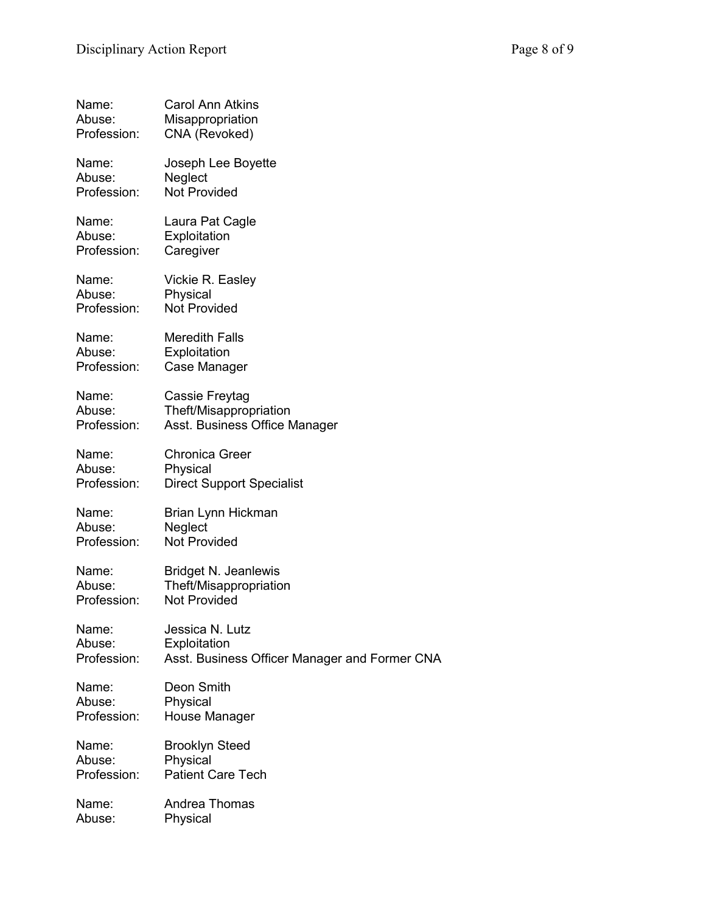| Name:       | <b>Carol Ann Atkins</b>                       |
|-------------|-----------------------------------------------|
| Abuse:      | Misappropriation                              |
| Profession: | CNA (Revoked)                                 |
| Name:       | Joseph Lee Boyette                            |
| Abuse:      | Neglect                                       |
| Profession: | <b>Not Provided</b>                           |
| Name:       | Laura Pat Cagle                               |
| Abuse:      | Exploitation                                  |
| Profession: | Caregiver                                     |
| Name:       | Vickie R. Easley                              |
| Abuse:      | Physical                                      |
| Profession: | <b>Not Provided</b>                           |
| Name:       | <b>Meredith Falls</b>                         |
| Abuse:      | Exploitation                                  |
| Profession: | Case Manager                                  |
| Name:       | Cassie Freytag                                |
| Abuse:      | Theft/Misappropriation                        |
| Profession: | Asst. Business Office Manager                 |
| Name:       | <b>Chronica Greer</b>                         |
| Abuse:      | Physical                                      |
| Profession: | <b>Direct Support Specialist</b>              |
| Name:       | Brian Lynn Hickman                            |
| Abuse:      | Neglect                                       |
| Profession: | <b>Not Provided</b>                           |
| Name:       | <b>Bridget N. Jeanlewis</b>                   |
| Abuse:      | Theft/Misappropriation                        |
| Profession: | <b>Not Provided</b>                           |
| Name:       | Jessica N. Lutz                               |
| Abuse:      | Exploitation                                  |
| Profession: | Asst. Business Officer Manager and Former CNA |
| Name:       | Deon Smith                                    |
| Abuse:      | Physical                                      |
| Profession: | House Manager                                 |
| Name:       | <b>Brooklyn Steed</b>                         |
| Abuse:      | Physical                                      |
| Profession: | <b>Patient Care Tech</b>                      |
| Name:       | Andrea Thomas                                 |
| Abuse:      | Physical                                      |